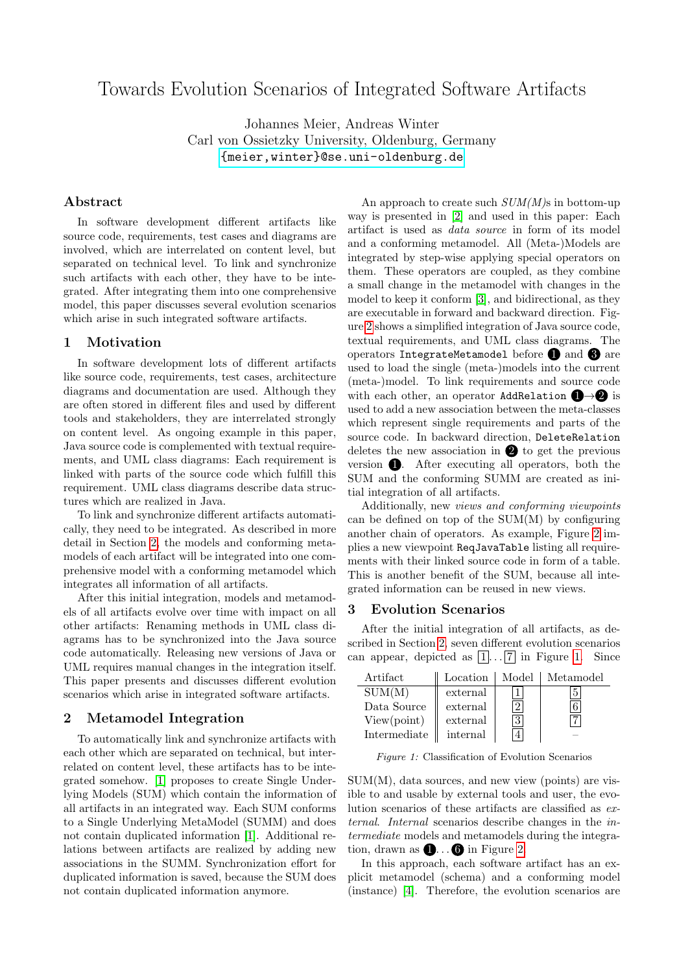# Towards Evolution Scenarios of Integrated Software Artifacts

Johannes Meier, Andreas Winter Carl von Ossietzky University, Oldenburg, Germany <{meier,winter}@se.uni-oldenburg.de>

# Abstract

In software development different artifacts like source code, requirements, test cases and diagrams are involved, which are interrelated on content level, but separated on technical level. To link and synchronize such artifacts with each other, they have to be integrated. After integrating them into one comprehensive model, this paper discusses several evolution scenarios which arise in such integrated software artifacts.

#### 1 Motivation

In software development lots of different artifacts like source code, requirements, test cases, architecture diagrams and documentation are used. Although they are often stored in different files and used by different tools and stakeholders, they are interrelated strongly on content level. As ongoing example in this paper, Java source code is complemented with textual requirements, and UML class diagrams: Each requirement is linked with parts of the source code which fulfill this requirement. UML class diagrams describe data structures which are realized in Java.

To link and synchronize different artifacts automatically, they need to be integrated. As described in more detail in Section [2,](#page-0-0) the models and conforming metamodels of each artifact will be integrated into one comprehensive model with a conforming metamodel which integrates all information of all artifacts.

After this initial integration, models and metamodels of all artifacts evolve over time with impact on all other artifacts: Renaming methods in UML class diagrams has to be synchronized into the Java source code automatically. Releasing new versions of Java or UML requires manual changes in the integration itself. This paper presents and discusses different evolution scenarios which arise in integrated software artifacts.

#### <span id="page-0-0"></span>2 Metamodel Integration

To automatically link and synchronize artifacts with each other which are separated on technical, but interrelated on content level, these artifacts has to be integrated somehow. [\[1\]](#page-1-0) proposes to create Single Underlying Models (SUM) which contain the information of all artifacts in an integrated way. Each SUM conforms to a Single Underlying MetaModel (SUMM) and does not contain duplicated information [\[1\]](#page-1-0). Additional relations between artifacts are realized by adding new associations in the SUMM. Synchronization effort for duplicated information is saved, because the SUM does not contain duplicated information anymore.

An approach to create such  $SUM(M)$ s in bottom-up way is presented in [\[2\]](#page-1-1) and used in this paper: Each artifact is used as data source in form of its model and a conforming metamodel. All (Meta-)Models are integrated by step-wise applying special operators on them. These operators are coupled, as they combine a small change in the metamodel with changes in the model to keep it conform [\[3\]](#page-1-2), and bidirectional, as they are executable in forward and backward direction. Figure [2](#page-1-3) shows a simplified integration of Java source code, textual requirements, and UML class diagrams. The operators IntegrateMetamodel before  $\bigcirc$  and  $\bigcirc$  are used to load the single (meta-)models into the current (meta-)model. To link requirements and source code with each other, an operator AddRelation  $\Box \rightarrow \mathbf{2}$  is used to add a new association between the meta-classes which represent single requirements and parts of the source code. In backward direction, DeleteRelation deletes the new association in  $\bullet$  to get the previous version  $\bullet$ . After executing all operators, both the SUM and the conforming SUMM are created as initial integration of all artifacts.

Additionally, new views and conforming viewpoints can be defined on top of the SUM(M) by configuring another chain of operators. As example, Figure [2](#page-1-3) implies a new viewpoint ReqJavaTable listing all requirements with their linked source code in form of a table. This is another benefit of the SUM, because all integrated information can be reused in new views.

### <span id="page-0-2"></span>3 Evolution Scenarios

After the initial integration of all artifacts, as described in Section [2,](#page-0-0) seven different evolution scenarios can appear, depicted as  $\overline{1}$ ...  $\overline{7}$  in Figure [1.](#page-0-1) Since

<span id="page-0-1"></span>

| Artifact     | Location | Model | Metamodel |
|--------------|----------|-------|-----------|
| SUM(M)       | external |       |           |
| Data Source  | external | ച     |           |
| View(point)  | external | 3     |           |
| Intermediate | internal |       |           |

Figure 1: Classification of Evolution Scenarios

 $SUM(M)$ , data sources, and new view (points) are visible to and usable by external tools and user, the evolution scenarios of these artifacts are classified as external. Internal scenarios describe changes in the intermediate models and metamodels during the integration, drawn as  $\bigoplus \ldots \bigoplus$  in Figure [2.](#page-1-3)

In this approach, each software artifact has an explicit metamodel (schema) and a conforming model (instance) [\[4\]](#page-1-4). Therefore, the evolution scenarios are